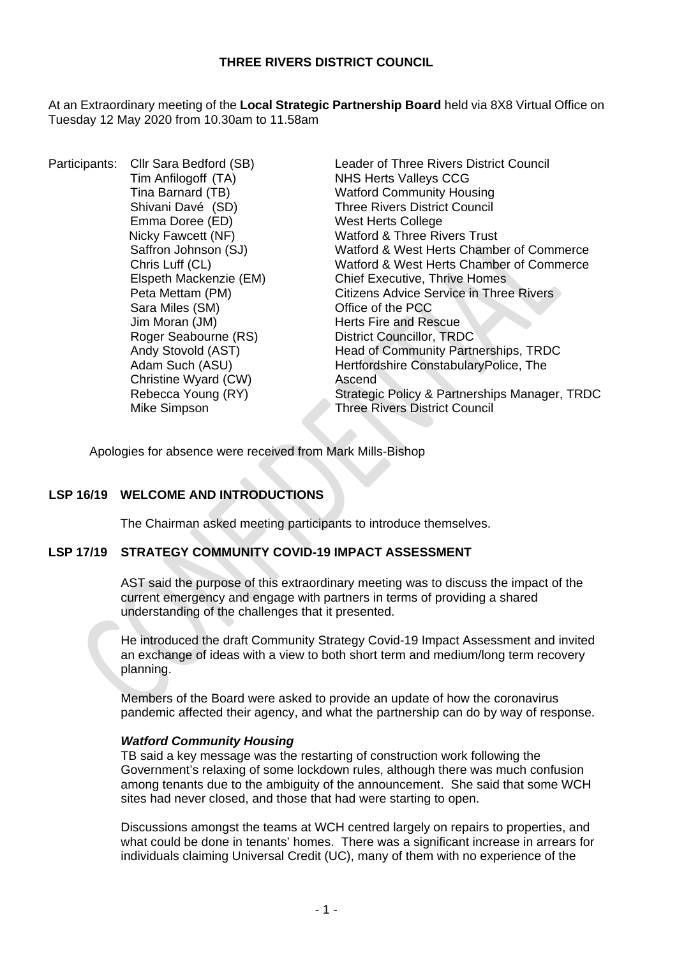# **THREE RIVERS DISTRICT COUNCIL**

At an Extraordinary meeting of the **Local Strategic Partnership Board** held via 8X8 Virtual Office on Tuesday 12 May 2020 from 10.30am to 11.58am

Participants: Cllr Sara Bedford (SB) Leader of Three Rivers District Council Tim Anfilogoff (TA) NHS Herts Valleys CCG<br>
Tina Barnard (TB) Watford Community Hou Emma Doree (ED) Sara Miles (SM) Jim Moran (JM) dim Moran (JM)<br>Roger Seabourne (RS) example in District Councillor, TRD Christine Wyard (CW) **Ascend**<br>
Rebecca Young (RY) Strategi

Tina Barnard (TB)<br>
Shivani Davé (SD) Shivani Davé (SD) Three Rivers District Council Three Rivers District Council<br>West Herts College Nicky Fawcett (NF) Watford & Three Rivers Trust Saffron Johnson (SJ) Watford & West Herts Chamber of Commerce Chris Luff (CL)<br>
Elspeth Mackenzie (EM) Watford & West Herts Chamber of Commerce<br>
Chief Executive, Thrive Homes Elspeth Mackenzie (EM) Chief Executive, Thrive Homes<br>
Peta Mettam (PM) Citizens Advice Service in Three Citizens Advice Service in Three Rivers<br>Office of the PCC District Councillor, TRDC Andy Stovold (AST) **Head of Community Partnerships, TRDC** Adam Such (ASU) Hertfordshire ConstabularyPolice, The Strategic Policy & Partnerships Manager, TRDC Mike Simpson Three Rivers District Council

Apologies for absence were received from Mark Mills-Bishop

# **LSP 16/19 WELCOME AND INTRODUCTIONS**

The Chairman asked meeting participants to introduce themselves.

# **LSP 17/19 STRATEGY COMMUNITY COVID-19 IMPACT ASSESSMENT**

AST said the purpose of this extraordinary meeting was to discuss the impact of the current emergency and engage with partners in terms of providing a shared understanding of the challenges that it presented.

He introduced the draft Community Strategy Covid-19 Impact Assessment and invited an exchange of ideas with a view to both short term and medium/long term recovery planning.

Members of the Board were asked to provide an update of how the coronavirus pandemic affected their agency, and what the partnership can do by way of response.

### *Watford Community Housing*

TB said a key message was the restarting of construction work following the Government's relaxing of some lockdown rules, although there was much confusion among tenants due to the ambiguity of the announcement. She said that some WCH sites had never closed, and those that had were starting to open.

Discussions amongst the teams at WCH centred largely on repairs to properties, and what could be done in tenants' homes. There was a significant increase in arrears for individuals claiming Universal Credit (UC), many of them with no experience of the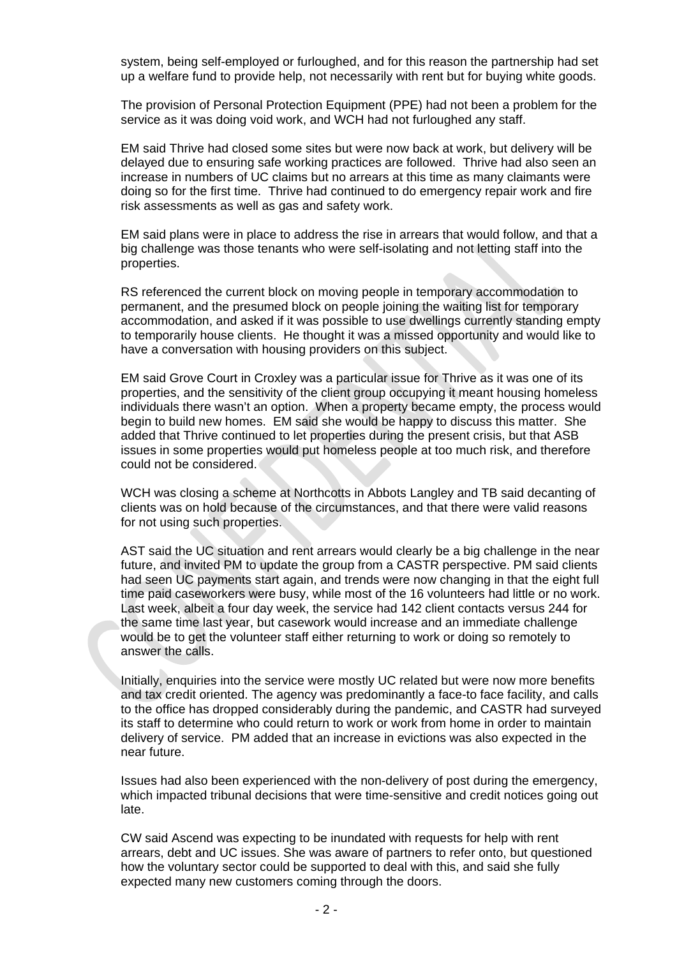system, being self-employed or furloughed, and for this reason the partnership had set up a welfare fund to provide help, not necessarily with rent but for buying white goods.

The provision of Personal Protection Equipment (PPE) had not been a problem for the service as it was doing void work, and WCH had not furloughed any staff.

EM said Thrive had closed some sites but were now back at work, but delivery will be delayed due to ensuring safe working practices are followed. Thrive had also seen an increase in numbers of UC claims but no arrears at this time as many claimants were doing so for the first time. Thrive had continued to do emergency repair work and fire risk assessments as well as gas and safety work.

EM said plans were in place to address the rise in arrears that would follow, and that a big challenge was those tenants who were self-isolating and not letting staff into the properties.

RS referenced the current block on moving people in temporary accommodation to permanent, and the presumed block on people joining the waiting list for temporary accommodation, and asked if it was possible to use dwellings currently standing empty to temporarily house clients. He thought it was a missed opportunity and would like to have a conversation with housing providers on this subject.

EM said Grove Court in Croxley was a particular issue for Thrive as it was one of its properties, and the sensitivity of the client group occupying it meant housing homeless individuals there wasn't an option. When a property became empty, the process would begin to build new homes. EM said she would be happy to discuss this matter. She added that Thrive continued to let properties during the present crisis, but that ASB issues in some properties would put homeless people at too much risk, and therefore could not be considered.

WCH was closing a scheme at Northcotts in Abbots Langley and TB said decanting of clients was on hold because of the circumstances, and that there were valid reasons for not using such properties.

AST said the UC situation and rent arrears would clearly be a big challenge in the near future, and invited PM to update the group from a CASTR perspective. PM said clients had seen UC payments start again, and trends were now changing in that the eight full time paid caseworkers were busy, while most of the 16 volunteers had little or no work. Last week, albeit a four day week, the service had 142 client contacts versus 244 for the same time last year, but casework would increase and an immediate challenge would be to get the volunteer staff either returning to work or doing so remotely to answer the calls.

Initially, enquiries into the service were mostly UC related but were now more benefits and tax credit oriented. The agency was predominantly a face-to face facility, and calls to the office has dropped considerably during the pandemic, and CASTR had surveyed its staff to determine who could return to work or work from home in order to maintain delivery of service. PM added that an increase in evictions was also expected in the near future.

Issues had also been experienced with the non-delivery of post during the emergency, which impacted tribunal decisions that were time-sensitive and credit notices going out late.

CW said Ascend was expecting to be inundated with requests for help with rent arrears, debt and UC issues. She was aware of partners to refer onto, but questioned how the voluntary sector could be supported to deal with this, and said she fully expected many new customers coming through the doors.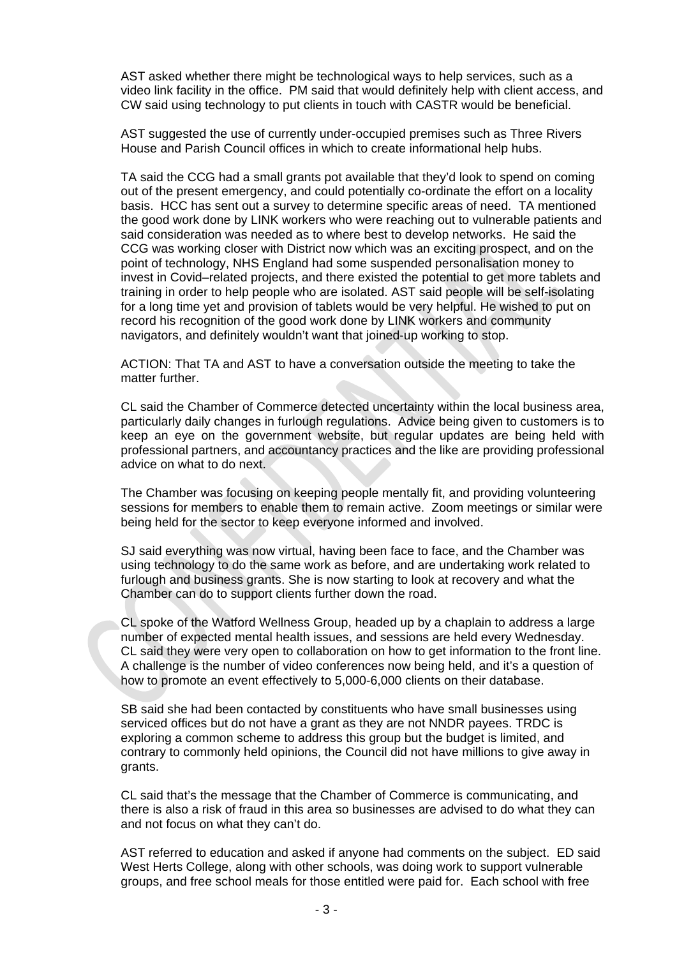AST asked whether there might be technological ways to help services, such as a video link facility in the office. PM said that would definitely help with client access, and CW said using technology to put clients in touch with CASTR would be beneficial.

AST suggested the use of currently under-occupied premises such as Three Rivers House and Parish Council offices in which to create informational help hubs.

TA said the CCG had a small grants pot available that they'd look to spend on coming out of the present emergency, and could potentially co-ordinate the effort on a locality basis. HCC has sent out a survey to determine specific areas of need. TA mentioned the good work done by LINK workers who were reaching out to vulnerable patients and said consideration was needed as to where best to develop networks. He said the CCG was working closer with District now which was an exciting prospect, and on the point of technology, NHS England had some suspended personalisation money to invest in Covid–related projects, and there existed the potential to get more tablets and training in order to help people who are isolated. AST said people will be self-isolating for a long time yet and provision of tablets would be very helpful. He wished to put on record his recognition of the good work done by LINK workers and community navigators, and definitely wouldn't want that joined-up working to stop.

ACTION: That TA and AST to have a conversation outside the meeting to take the matter further.

CL said the Chamber of Commerce detected uncertainty within the local business area, particularly daily changes in furlough regulations. Advice being given to customers is to keep an eye on the government website, but regular updates are being held with professional partners, and accountancy practices and the like are providing professional advice on what to do next.

The Chamber was focusing on keeping people mentally fit, and providing volunteering sessions for members to enable them to remain active. Zoom meetings or similar were being held for the sector to keep everyone informed and involved.

SJ said everything was now virtual, having been face to face, and the Chamber was using technology to do the same work as before, and are undertaking work related to furlough and business grants. She is now starting to look at recovery and what the Chamber can do to support clients further down the road.

CL spoke of the Watford Wellness Group, headed up by a chaplain to address a large number of expected mental health issues, and sessions are held every Wednesday. CL said they were very open to collaboration on how to get information to the front line. A challenge is the number of video conferences now being held, and it's a question of how to promote an event effectively to 5,000-6,000 clients on their database.

SB said she had been contacted by constituents who have small businesses using serviced offices but do not have a grant as they are not NNDR payees. TRDC is exploring a common scheme to address this group but the budget is limited, and contrary to commonly held opinions, the Council did not have millions to give away in grants.

CL said that's the message that the Chamber of Commerce is communicating, and there is also a risk of fraud in this area so businesses are advised to do what they can and not focus on what they can't do.

AST referred to education and asked if anyone had comments on the subject. ED said West Herts College, along with other schools, was doing work to support vulnerable groups, and free school meals for those entitled were paid for. Each school with free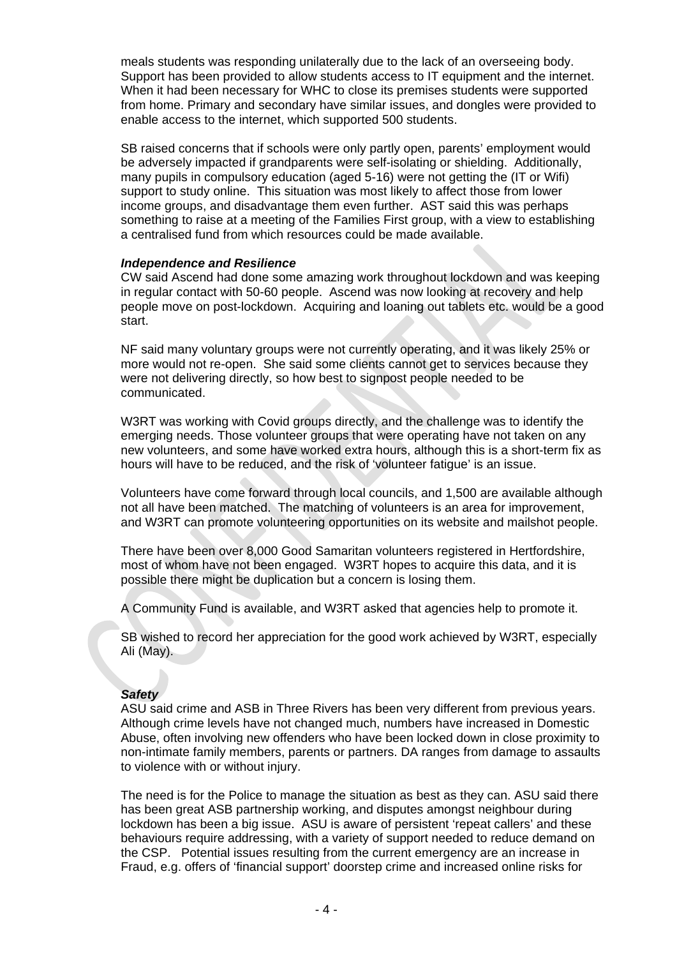meals students was responding unilaterally due to the lack of an overseeing body. Support has been provided to allow students access to IT equipment and the internet. When it had been necessary for WHC to close its premises students were supported from home. Primary and secondary have similar issues, and dongles were provided to enable access to the internet, which supported 500 students.

SB raised concerns that if schools were only partly open, parents' employment would be adversely impacted if grandparents were self-isolating or shielding. Additionally, many pupils in compulsory education (aged 5-16) were not getting the (IT or Wifi) support to study online. This situation was most likely to affect those from lower income groups, and disadvantage them even further. AST said this was perhaps something to raise at a meeting of the Families First group, with a view to establishing a centralised fund from which resources could be made available.

## *Independence and Resilience*

CW said Ascend had done some amazing work throughout lockdown and was keeping in regular contact with 50-60 people. Ascend was now looking at recovery and help people move on post-lockdown. Acquiring and loaning out tablets etc. would be a good start.

NF said many voluntary groups were not currently operating, and it was likely 25% or more would not re-open. She said some clients cannot get to services because they were not delivering directly, so how best to signpost people needed to be communicated.

W3RT was working with Covid groups directly, and the challenge was to identify the emerging needs. Those volunteer groups that were operating have not taken on any new volunteers, and some have worked extra hours, although this is a short-term fix as hours will have to be reduced, and the risk of 'volunteer fatigue' is an issue.

Volunteers have come forward through local councils, and 1,500 are available although not all have been matched. The matching of volunteers is an area for improvement, and W3RT can promote volunteering opportunities on its website and mailshot people.

There have been over 8,000 Good Samaritan volunteers registered in Hertfordshire, most of whom have not been engaged. W3RT hopes to acquire this data, and it is possible there might be duplication but a concern is losing them.

A Community Fund is available, and W3RT asked that agencies help to promote it.

SB wished to record her appreciation for the good work achieved by W3RT, especially Ali (May).

# *Safety*

ASU said crime and ASB in Three Rivers has been very different from previous years. Although crime levels have not changed much, numbers have increased in Domestic Abuse, often involving new offenders who have been locked down in close proximity to non-intimate family members, parents or partners. DA ranges from damage to assaults to violence with or without injury.

The need is for the Police to manage the situation as best as they can. ASU said there has been great ASB partnership working, and disputes amongst neighbour during lockdown has been a big issue. ASU is aware of persistent 'repeat callers' and these behaviours require addressing, with a variety of support needed to reduce demand on the CSP. Potential issues resulting from the current emergency are an increase in Fraud, e.g. offers of 'financial support' doorstep crime and increased online risks for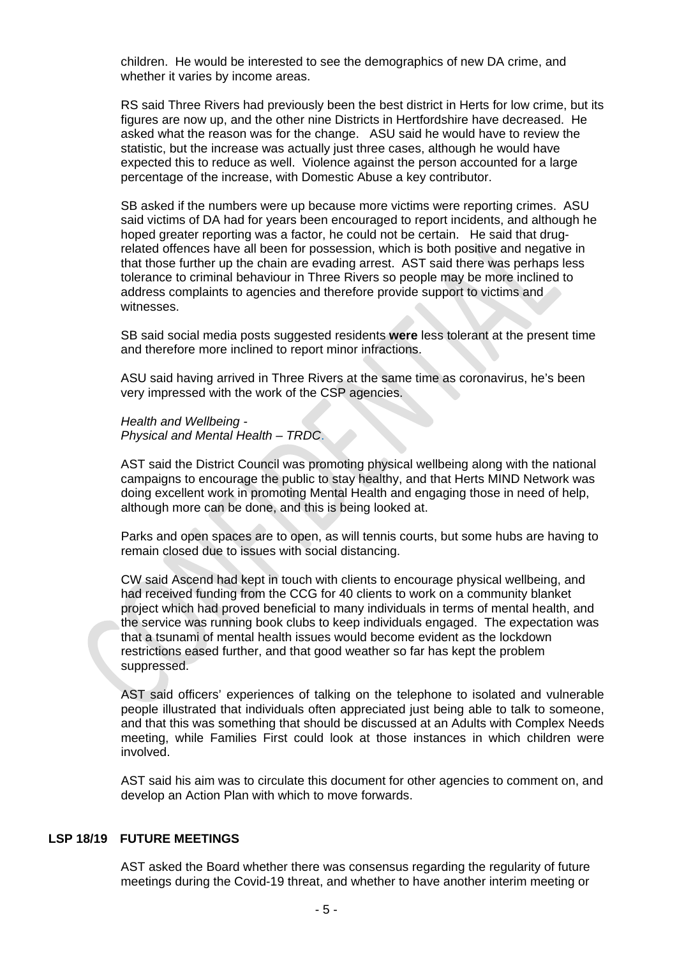children. He would be interested to see the demographics of new DA crime, and whether it varies by income areas.

RS said Three Rivers had previously been the best district in Herts for low crime, but its figures are now up, and the other nine Districts in Hertfordshire have decreased. He asked what the reason was for the change. ASU said he would have to review the statistic, but the increase was actually just three cases, although he would have expected this to reduce as well. Violence against the person accounted for a large percentage of the increase, with Domestic Abuse a key contributor.

SB asked if the numbers were up because more victims were reporting crimes. ASU said victims of DA had for years been encouraged to report incidents, and although he hoped greater reporting was a factor, he could not be certain. He said that drugrelated offences have all been for possession, which is both positive and negative in that those further up the chain are evading arrest. AST said there was perhaps less tolerance to criminal behaviour in Three Rivers so people may be more inclined to address complaints to agencies and therefore provide support to victims and witnesses.

SB said social media posts suggested residents **were** less tolerant at the present time and therefore more inclined to report minor infractions.

ASU said having arrived in Three Rivers at the same time as coronavirus, he's been very impressed with the work of the CSP agencies.

*Health and Wellbeing - Physical and Mental Health – TRDC*.

AST said the District Council was promoting physical wellbeing along with the national campaigns to encourage the public to stay healthy, and that Herts MIND Network was doing excellent work in promoting Mental Health and engaging those in need of help, although more can be done, and this is being looked at.

Parks and open spaces are to open, as will tennis courts, but some hubs are having to remain closed due to issues with social distancing.

CW said Ascend had kept in touch with clients to encourage physical wellbeing, and had received funding from the CCG for 40 clients to work on a community blanket project which had proved beneficial to many individuals in terms of mental health, and the service was running book clubs to keep individuals engaged. The expectation was that a tsunami of mental health issues would become evident as the lockdown restrictions eased further, and that good weather so far has kept the problem suppressed.

AST said officers' experiences of talking on the telephone to isolated and vulnerable people illustrated that individuals often appreciated just being able to talk to someone, and that this was something that should be discussed at an Adults with Complex Needs meeting, while Families First could look at those instances in which children were involved.

AST said his aim was to circulate this document for other agencies to comment on, and develop an Action Plan with which to move forwards.

### **LSP 18/19 FUTURE MEETINGS**

AST asked the Board whether there was consensus regarding the regularity of future meetings during the Covid-19 threat, and whether to have another interim meeting or